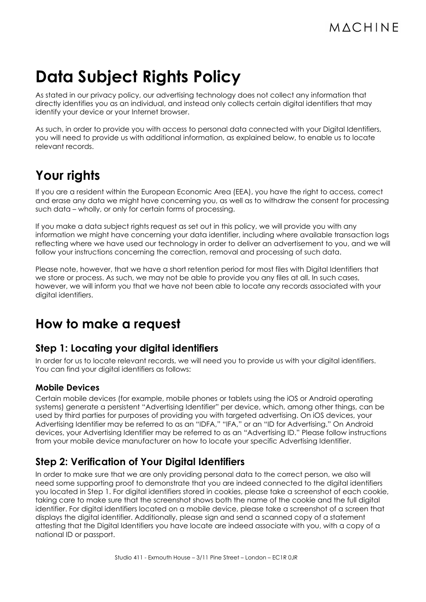# **Data Subject Rights Policy**

As stated in our privacy policy, our advertising technology does not collect any information that directly identifies you as an individual, and instead only collects certain digital identifiers that may identify your device or your Internet browser.

As such, in order to provide you with access to personal data connected with your Digital Identifiers, you will need to provide us with additional information, as explained below, to enable us to locate relevant records.

# **Your rights**

If you are a resident within the European Economic Area (EEA), you have the right to access, correct and erase any data we might have concerning you, as well as to withdraw the consent for processing such data – wholly, or only for certain forms of processing.

If you make a data subject rights request as set out in this policy, we will provide you with any information we might have concerning your data identifier, including where available transaction logs reflecting where we have used our technology in order to deliver an advertisement to you, and we will follow your instructions concerning the correction, removal and processing of such data.

Please note, however, that we have a short retention period for most files with Digital Identifiers that we store or process. As such, we may not be able to provide you any files at all. In such cases, however, we will inform you that we have not been able to locate any records associated with your digital identifiers.

## **How to make a request**

#### **Step 1: Locating your digital identifiers**

In order for us to locate relevant records, we will need you to provide us with your digital identifiers. You can find your digital identifiers as follows:

#### **Mobile Devices**

Certain mobile devices (for example, mobile phones or tablets using the iOS or Android operating systems) generate a persistent "Advertising Identifier" per device, which, among other things, can be used by third parties for purposes of providing you with targeted advertising. On iOS devices, your Advertising Identifier may be referred to as an "IDFA," "IFA," or an "ID for Advertising." On Android devices, your Advertising Identifier may be referred to as an "Advertising ID." Please follow instructions from your mobile device manufacturer on how to locate your specific Advertising Identifier.

### **Step 2: Verification of Your Digital Identifiers**

In order to make sure that we are only providing personal data to the correct person, we also will need some supporting proof to demonstrate that you are indeed connected to the digital identifiers you located in Step 1. For digital identifiers stored in cookies, please take a screenshot of each cookie, taking care to make sure that the screenshot shows both the name of the cookie and the full digital identifier. For digital identifiers located on a mobile device, please take a screenshot of a screen that displays the digital identifier. Additionally, please sign and send a scanned copy of a statement attesting that the Digital Identifiers you have locate are indeed associate with you, with a copy of a national ID or passport.